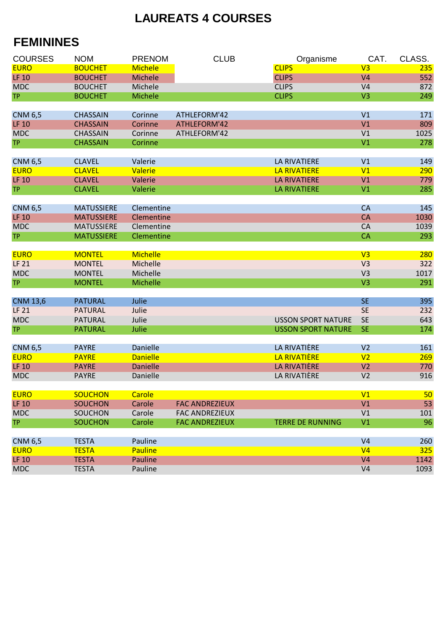## **LAUREATS 4 COURSES**

## **FEMININES**

| <b>COURSES</b>  | <b>NOM</b>        | <b>PRENOM</b>   |                       | <b>CLUB</b> | Organisme                 | CAT.           | CLASS.     |
|-----------------|-------------------|-----------------|-----------------------|-------------|---------------------------|----------------|------------|
| <b>EURO</b>     | <b>BOUCHET</b>    | <b>Michele</b>  |                       |             | <b>CLIPS</b>              | V <sub>3</sub> | 235        |
| <b>LF 10</b>    | <b>BOUCHET</b>    | Michele         |                       |             | <b>CLIPS</b>              | V <sub>4</sub> | 552        |
| <b>MDC</b>      | <b>BOUCHET</b>    | Michele         |                       |             | <b>CLIPS</b>              | V <sub>4</sub> | 872        |
| <b>TP</b>       | <b>BOUCHET</b>    | Michele         |                       |             | <b>CLIPS</b>              | V <sub>3</sub> | 249        |
|                 |                   |                 |                       |             |                           |                |            |
| <b>CNM 6,5</b>  | <b>CHASSAIN</b>   | Corinne         | ATHLEFORM'42          |             |                           | V <sub>1</sub> | 171        |
| <b>LF 10</b>    | <b>CHASSAIN</b>   | Corinne         | ATHLEFORM'42          |             |                           | V <sub>1</sub> | 809        |
| <b>MDC</b>      | <b>CHASSAIN</b>   | Corinne         | ATHLEFORM'42          |             |                           | V <sub>1</sub> | 1025       |
| <b>TP</b>       | <b>CHASSAIN</b>   | Corinne         |                       |             |                           | V <sub>1</sub> | 278        |
|                 |                   |                 |                       |             |                           |                |            |
| <b>CNM 6,5</b>  | <b>CLAVEL</b>     | Valerie         |                       |             | <b>LA RIVATIERE</b>       | V1             | 149        |
| <b>EURO</b>     | <b>CLAVEL</b>     | <b>Valerie</b>  |                       |             | <b>LA RIVATIERE</b>       | V1             | 290        |
| <b>LF 10</b>    | <b>CLAVEL</b>     | Valerie         |                       |             | <b>LA RIVATIERE</b>       | V1             | 779        |
| <b>TP</b>       | <b>CLAVEL</b>     | Valerie         |                       |             | <b>LA RIVATIERE</b>       | V <sub>1</sub> | 285        |
|                 |                   |                 |                       |             |                           |                |            |
| <b>CNM 6,5</b>  | <b>MATUSSIERE</b> | Clementine      |                       |             |                           | <b>CA</b>      | 145        |
| <b>LF 10</b>    | <b>MATUSSIERE</b> | Clementine      |                       |             |                           | <b>CA</b>      | 1030       |
| <b>MDC</b>      | <b>MATUSSIERE</b> | Clementine      |                       |             |                           | CA             | 1039       |
| <b>TP</b>       | <b>MATUSSIERE</b> | Clementine      |                       |             |                           | <b>CA</b>      | 293        |
|                 |                   |                 |                       |             |                           |                |            |
| <b>EURO</b>     | <b>MONTEL</b>     | <b>Michelle</b> |                       |             |                           | V <sub>3</sub> | 280        |
| <b>LF 21</b>    | <b>MONTEL</b>     | Michelle        |                       |             |                           | V <sub>3</sub> | 322        |
| <b>MDC</b>      | <b>MONTEL</b>     | Michelle        |                       |             |                           | V <sub>3</sub> | 1017       |
| <b>TP</b>       | <b>MONTEL</b>     | Michelle        |                       |             |                           | V <sub>3</sub> | 291        |
|                 |                   |                 |                       |             |                           |                |            |
| <b>CNM 13,6</b> | <b>PATURAL</b>    | Julie           |                       |             |                           | <b>SE</b>      | 395        |
| <b>LF 21</b>    | <b>PATURAL</b>    | Julie           |                       |             |                           | <b>SE</b>      | 232        |
| <b>MDC</b>      | <b>PATURAL</b>    | Julie           |                       |             | <b>USSON SPORT NATURE</b> | <b>SE</b>      | 643        |
| <b>TP</b>       | <b>PATURAL</b>    | Julie           |                       |             | <b>USSON SPORT NATURE</b> | <b>SE</b>      | 174        |
|                 |                   |                 |                       |             |                           |                |            |
| <b>CNM 6,5</b>  | <b>PAYRE</b>      | Danielle        |                       |             | LA RIVATIÈRE              | V <sub>2</sub> | 161        |
| <b>EURO</b>     | <b>PAYRE</b>      | <b>Danielle</b> |                       |             | LA RIVATIÈRE              | V <sub>2</sub> | 269        |
| <b>LF 10</b>    | <b>PAYRE</b>      | <b>Danielle</b> |                       |             | LA RIVATIÈRE              | V <sub>2</sub> | 770        |
| <b>MDC</b>      | <b>PAYRE</b>      | Danielle        |                       |             | LA RIVATIÈRE              | V <sub>2</sub> | 916        |
|                 |                   |                 |                       |             |                           |                |            |
| <b>EURO</b>     | <b>SOUCHON</b>    | <b>Carole</b>   |                       |             |                           | V1             | 50         |
| <b>LF 10</b>    | <b>SOUCHON</b>    | Carole          | <b>FAC ANDREZIEUX</b> |             |                           | V1             | 53         |
| <b>MDC</b>      | <b>SOUCHON</b>    | Carole          | <b>FAC ANDREZIEUX</b> |             |                           | V <sub>1</sub> | 101        |
| <b>TP</b>       | <b>SOUCHON</b>    | Carole          | <b>FAC ANDREZIEUX</b> |             | <b>TERRE DE RUNNING</b>   | V <sub>1</sub> | 96         |
|                 |                   |                 |                       |             |                           |                |            |
| <b>CNM 6,5</b>  | <b>TESTA</b>      | Pauline         |                       |             |                           | V <sub>4</sub> | 260        |
| <b>EURO</b>     | <b>TESTA</b>      | <b>Pauline</b>  |                       |             |                           | V <sub>4</sub> | <b>325</b> |
| <b>LF 10</b>    | <b>TESTA</b>      | Pauline         |                       |             |                           | V <sub>4</sub> | 1142       |
| <b>MDC</b>      | <b>TESTA</b>      | Pauline         |                       |             |                           | V <sub>4</sub> | 1093       |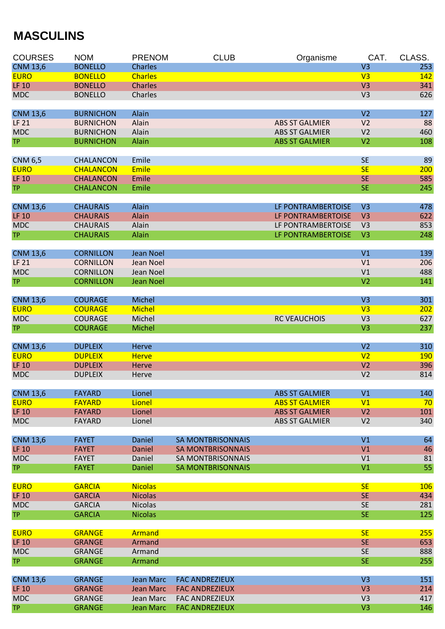## **MASCULINS**

| <b>COURSES</b>                  | <b>NOM</b>                           | <b>PRENOM</b>          | <b>CLUB</b>              | Organisme             | CAT.                             | CLASS.     |
|---------------------------------|--------------------------------------|------------------------|--------------------------|-----------------------|----------------------------------|------------|
| <b>CNM 13,6</b>                 | <b>BONELLO</b>                       | <b>Charles</b>         |                          |                       | V <sub>3</sub>                   | 253        |
| <b>EURO</b>                     | <b>BONELLO</b>                       | <b>Charles</b>         |                          |                       | V <sub>3</sub>                   | 142        |
| <b>LF 10</b>                    | <b>BONELLO</b>                       | <b>Charles</b>         |                          |                       | V <sub>3</sub>                   | 341        |
| <b>MDC</b>                      | <b>BONELLO</b>                       | Charles                |                          |                       | V <sub>3</sub>                   | 626        |
| <b>CNM 13,6</b>                 | <b>BURNICHON</b>                     | Alain                  |                          |                       | V <sub>2</sub>                   | 127        |
| <b>LF 21</b>                    | <b>BURNICHON</b>                     | Alain                  |                          | <b>ABS ST GALMIER</b> | V <sub>2</sub>                   | 88         |
| <b>MDC</b>                      | <b>BURNICHON</b>                     | Alain                  |                          | <b>ABS ST GALMIER</b> | V <sub>2</sub>                   | 460        |
| <b>TP</b>                       | <b>BURNICHON</b>                     | Alain                  |                          | <b>ABS ST GALMIER</b> | V <sub>2</sub>                   | 108        |
| <b>CNM 6,5</b>                  | <b>CHALANCON</b>                     | Emile                  |                          |                       | <b>SE</b>                        | 89         |
| <b>EURO</b>                     | <b>CHALANCON</b>                     | <b>Emile</b>           |                          |                       | <b>SE</b>                        | 200        |
| <b>LF 10</b>                    | <b>CHALANCON</b>                     | Emile                  |                          |                       | <b>SE</b>                        | 585        |
| <b>TP</b>                       | <b>CHALANCON</b>                     | Emile                  |                          |                       | <b>SE</b>                        | 245        |
| <b>CNM 13,6</b>                 | <b>CHAURAIS</b>                      | Alain                  |                          | LF PONTRAMBERTOISE    | V <sub>3</sub>                   | 478        |
| <b>LF 10</b>                    | <b>CHAURAIS</b>                      | Alain                  |                          | LF PONTRAMBERTOISE    | V <sub>3</sub>                   | 622        |
| <b>MDC</b>                      | <b>CHAURAIS</b>                      | Alain                  |                          | LF PONTRAMBERTOISE    | V <sub>3</sub>                   | 853        |
| <b>TP</b>                       | <b>CHAURAIS</b>                      | Alain                  |                          | LF PONTRAMBERTOISE    | V <sub>3</sub>                   | 248        |
|                                 |                                      |                        |                          |                       |                                  | 139        |
| <b>CNM 13,6</b><br><b>LF 21</b> | <b>CORNILLON</b><br><b>CORNILLON</b> | Jean Noel<br>Jean Noel |                          |                       | V <sub>1</sub><br>V <sub>1</sub> | 206        |
| <b>MDC</b>                      | <b>CORNILLON</b>                     | Jean Noel              |                          |                       | V <sub>1</sub>                   | 488        |
| <b>TP</b>                       | <b>CORNILLON</b>                     | <b>Jean Noel</b>       |                          |                       | V <sub>2</sub>                   | 141        |
|                                 |                                      |                        |                          |                       |                                  |            |
| <b>CNM 13,6</b>                 | <b>COURAGE</b>                       | Michel                 |                          |                       | V <sub>3</sub>                   | 301        |
| <b>EURO</b>                     | <b>COURAGE</b>                       | <b>Michel</b>          |                          |                       | V <sub>3</sub>                   | 202        |
| <b>MDC</b>                      | <b>COURAGE</b>                       | Michel                 |                          | <b>RC VEAUCHOIS</b>   | V <sub>3</sub>                   | 627        |
| TP.                             | <b>COURAGE</b>                       | Michel                 |                          |                       | V <sub>3</sub>                   | 237        |
| <b>CNM 13,6</b>                 | <b>DUPLEIX</b>                       | Herve                  |                          |                       | V <sub>2</sub>                   | 310        |
| <b>EURO</b>                     | <b>DUPLEIX</b>                       | <b>Herve</b>           |                          |                       | V <sub>2</sub>                   | <b>190</b> |
| <b>LF 10</b>                    | <b>DUPLEIX</b>                       | <b>Herve</b>           |                          |                       | V <sub>2</sub>                   | 396        |
| <b>MDC</b>                      | <b>DUPLEIX</b>                       | Herve                  |                          |                       | V <sub>2</sub>                   | 814        |
| <b>CNM 13,6</b>                 | <b>FAYARD</b>                        | Lionel                 |                          | <b>ABS ST GALMIER</b> | V1                               | 140        |
| <b>EURO</b>                     | <b>FAYARD</b>                        | Lionel                 |                          | <b>ABS ST GALMIER</b> | V <sub>1</sub>                   | 70         |
| <b>LF 10</b>                    | <b>FAYARD</b>                        | Lionel                 |                          | <b>ABS ST GALMIER</b> | V <sub>2</sub>                   | 101        |
| <b>MDC</b>                      | <b>FAYARD</b>                        | Lionel                 |                          | <b>ABS ST GALMIER</b> | V <sub>2</sub>                   | 340        |
| <b>CNM 13,6</b>                 | <b>FAYET</b>                         | Daniel                 | <b>SA MONTBRISONNAIS</b> |                       | V1                               | 64         |
| <b>LF 10</b>                    | <b>FAYET</b>                         | <b>Daniel</b>          | <b>SA MONTBRISONNAIS</b> |                       | V1                               | 46         |
| <b>MDC</b>                      | <b>FAYET</b>                         | Daniel                 | <b>SA MONTBRISONNAIS</b> |                       | V <sub>1</sub>                   | 81         |
| TP.                             | <b>FAYET</b>                         | <b>Daniel</b>          | <b>SA MONTBRISONNAIS</b> |                       | V <sub>1</sub>                   | 55         |
| <b>EURO</b>                     | <b>GARCIA</b>                        | <b>Nicolas</b>         |                          |                       | <b>SE</b>                        | <b>106</b> |
| <b>LF 10</b>                    | <b>GARCIA</b>                        | <b>Nicolas</b>         |                          |                       | <b>SE</b>                        | 434        |
| <b>MDC</b>                      | <b>GARCIA</b>                        | <b>Nicolas</b>         |                          |                       | <b>SE</b>                        | 281        |
| TP.                             | <b>GARCIA</b>                        | <b>Nicolas</b>         |                          |                       | <b>SE</b>                        | 125        |
|                                 |                                      |                        |                          |                       |                                  |            |
| <b>EURO</b><br><b>LF 10</b>     | <b>GRANGE</b>                        | Armand                 |                          |                       | <b>SE</b>                        | 255        |
| <b>MDC</b>                      | <b>GRANGE</b><br><b>GRANGE</b>       | Armand<br>Armand       |                          |                       | <b>SE</b><br><b>SE</b>           | 653<br>888 |
| TP.                             | <b>GRANGE</b>                        | Armand                 |                          |                       | <b>SE</b>                        | 255        |
|                                 |                                      |                        |                          |                       |                                  |            |
| <b>CNM 13,6</b>                 | <b>GRANGE</b>                        | Jean Marc              | <b>FAC ANDREZIEUX</b>    |                       | V <sub>3</sub>                   | 151        |
| <b>LF 10</b>                    | <b>GRANGE</b>                        | <b>Jean Marc</b>       | <b>FAC ANDREZIEUX</b>    |                       | V <sub>3</sub>                   | 214        |
| <b>MDC</b>                      | <b>GRANGE</b>                        | Jean Marc              | <b>FAC ANDREZIEUX</b>    |                       | V <sub>3</sub>                   | 417        |
| <b>TP</b>                       | <b>GRANGE</b>                        | Jean Marc              | <b>FAC ANDREZIEUX</b>    |                       | V <sub>3</sub>                   | 146        |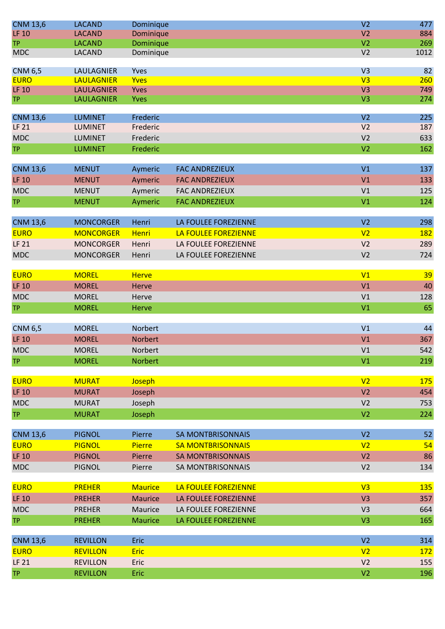| <b>CNM 13,6</b>               | <b>LACAND</b>                          | Dominique           |                          | V <sub>2</sub>                   | 477       |
|-------------------------------|----------------------------------------|---------------------|--------------------------|----------------------------------|-----------|
| <b>LF 10</b>                  | <b>LACAND</b>                          | Dominique           |                          | V <sub>2</sub>                   | 884       |
| <b>TP</b>                     | <b>LACAND</b>                          | Dominique           |                          | V <sub>2</sub>                   | 269       |
| <b>MDC</b>                    | <b>LACAND</b>                          | Dominique           |                          | V <sub>2</sub>                   | 1012      |
|                               |                                        |                     |                          |                                  |           |
| <b>CNM 6,5</b><br><b>EURO</b> | <b>LAULAGNIER</b><br><b>LAULAGNIER</b> | Yves<br><b>Yves</b> |                          | V <sub>3</sub><br>V <sub>3</sub> | 82<br>260 |
| <b>LF 10</b>                  | <b>LAULAGNIER</b>                      | Yves                |                          | V <sub>3</sub>                   | 749       |
| <b>TP</b>                     | <b>LAULAGNIER</b>                      | <b>Yves</b>         |                          | V <sub>3</sub>                   | 274       |
|                               |                                        |                     |                          |                                  |           |
| <b>CNM 13,6</b>               | <b>LUMINET</b>                         | Frederic            |                          | V <sub>2</sub>                   | 225       |
| <b>LF 21</b>                  | <b>LUMINET</b>                         | Frederic            |                          | V <sub>2</sub>                   | 187       |
| <b>MDC</b>                    | <b>LUMINET</b>                         | Frederic            |                          | V <sub>2</sub>                   | 633       |
| <b>TP</b>                     | <b>LUMINET</b>                         | Frederic            |                          | V <sub>2</sub>                   | 162       |
|                               |                                        |                     |                          |                                  |           |
| <b>CNM 13,6</b>               | <b>MENUT</b>                           | Aymeric             | <b>FAC ANDREZIEUX</b>    | V1                               | 137       |
| <b>LF 10</b>                  | <b>MENUT</b>                           | Aymeric             | <b>FAC ANDREZIEUX</b>    | V1                               | 133       |
| <b>MDC</b>                    | <b>MENUT</b>                           | Aymeric             | <b>FAC ANDREZIEUX</b>    | V <sub>1</sub>                   | 125       |
| <b>TP</b>                     | <b>MENUT</b>                           | Aymeric             | <b>FAC ANDREZIEUX</b>    | V <sub>1</sub>                   | 124       |
|                               |                                        |                     |                          |                                  |           |
| <b>CNM 13,6</b>               | <b>MONCORGER</b>                       | Henri               | LA FOULEE FOREZIENNE     | V <sub>2</sub>                   | 298       |
| <b>EURO</b>                   | <b>MONCORGER</b>                       | <b>Henri</b>        | LA FOULEE FOREZIENNE     | V <sub>2</sub>                   | 182       |
| LF 21                         | <b>MONCORGER</b>                       | Henri               | LA FOULEE FOREZIENNE     | V <sub>2</sub>                   | 289       |
| <b>MDC</b>                    | <b>MONCORGER</b>                       | Henri               | LA FOULEE FOREZIENNE     | V <sub>2</sub>                   | 724       |
|                               |                                        |                     |                          |                                  |           |
| <b>EURO</b>                   | <b>MOREL</b>                           | <b>Herve</b>        |                          | V1                               | 39        |
| <b>LF 10</b>                  | <b>MOREL</b>                           | Herve               |                          | V <sub>1</sub>                   | 40        |
| <b>MDC</b>                    | <b>MOREL</b>                           | Herve               |                          | V1                               | 128       |
| <b>TP</b>                     | <b>MOREL</b>                           | <b>Herve</b>        |                          | V <sub>1</sub>                   | 65        |
|                               |                                        |                     |                          |                                  |           |
| <b>CNM 6,5</b>                | <b>MOREL</b>                           | Norbert             |                          | V <sub>1</sub>                   | 44        |
| <b>LF 10</b>                  | <b>MOREL</b>                           | <b>Norbert</b>      |                          | V1                               | 367       |
| <b>MDC</b>                    | <b>MOREL</b>                           | Norbert             |                          | V <sub>1</sub>                   | 542       |
| <b>TP</b>                     | <b>MOREL</b>                           | Norbert             |                          | V <sub>1</sub>                   | 219       |
| <b>EURO</b>                   |                                        |                     |                          | V <sub>2</sub>                   | 175       |
|                               | <b>MURAT</b>                           | Joseph              |                          |                                  |           |
| <b>LF 10</b>                  | <b>MURAT</b>                           | Joseph              |                          | V <sub>2</sub>                   | 454       |
| <b>MDC</b>                    | <b>MURAT</b>                           | Joseph              |                          | V <sub>2</sub>                   | 753       |
| <b>TP</b>                     | <b>MURAT</b>                           | Joseph              |                          | V <sub>2</sub>                   | 224       |
| <b>CNM 13,6</b>               | <b>PIGNOL</b>                          | Pierre              | <b>SA MONTBRISONNAIS</b> | V <sub>2</sub>                   | 52        |
| <b>EURO</b>                   | <b>PIGNOL</b>                          | Pierre              | <b>SA MONTBRISONNAIS</b> | V <sub>2</sub>                   | 54        |
| <b>LF 10</b>                  | <b>PIGNOL</b>                          | Pierre              | <b>SA MONTBRISONNAIS</b> | V <sub>2</sub>                   | 86        |
|                               |                                        |                     |                          | V <sub>2</sub>                   |           |
| <b>MDC</b>                    | <b>PIGNOL</b>                          | Pierre              | SA MONTBRISONNAIS        |                                  | 134       |
| <b>EURO</b>                   | <b>PREHER</b>                          | <b>Maurice</b>      | LA FOULEE FOREZIENNE     | V <sub>3</sub>                   | 135       |
| <b>LF 10</b>                  | <b>PREHER</b>                          | <b>Maurice</b>      | LA FOULEE FOREZIENNE     | V <sub>3</sub>                   | 357       |
| <b>MDC</b>                    | <b>PREHER</b>                          | Maurice             | LA FOULEE FOREZIENNE     | V <sub>3</sub>                   | 664       |
| <b>TP</b>                     | <b>PREHER</b>                          | <b>Maurice</b>      | LA FOULEE FOREZIENNE     | V <sub>3</sub>                   | 165       |
|                               |                                        |                     |                          |                                  |           |
| <b>CNM 13,6</b>               | <b>REVILLON</b>                        | Eric                |                          | V <sub>2</sub>                   | 314       |
| <b>EURO</b>                   | <b>REVILLON</b>                        | Eric                |                          | V <sub>2</sub>                   | 172       |
| <b>LF 21</b>                  | <b>REVILLON</b>                        | Eric                |                          | V <sub>2</sub>                   | 155       |
| <b>TP</b>                     | <b>REVILLON</b>                        | Eric                |                          | V <sub>2</sub>                   | 196       |
|                               |                                        |                     |                          |                                  |           |